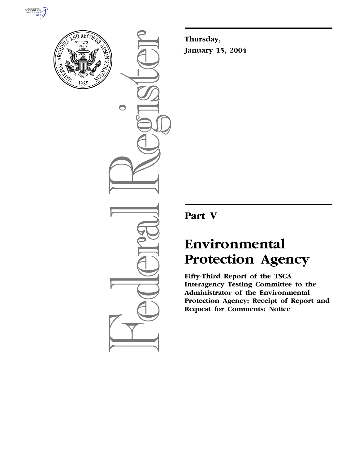



 $\bigcirc$ 

**Thursday, January 15, 2004**

## **Part V**

# **Environmental Protection Agency**

**Fifty-Third Report of the TSCA Interagency Testing Committee to the Administrator of the Environmental Protection Agency; Receipt of Report and Request for Comments; Notice**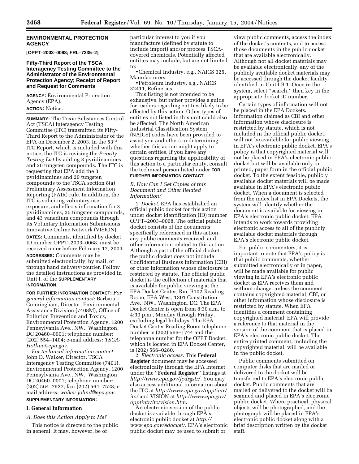#### **ENVIRONMENTAL PROTECTION AGENCY**

**[OPPT–2003–0068; FRL–7335–2]**

#### **Fifty-Third Report of the TSCA Interagency Testing Committee to the Administrator of the Environmental Protection Agency; Receipt of Report and Request for Comments**

**AGENCY:** Environmental Protection Agency (EPA).

**ACTION:** Notice.

**SUMMARY:** The Toxic Substances Control Act (TSCA) Interagency Testing Committee (ITC) transmitted its Fifty-Third Report to the Administrator of the EPA on December 2, 2003. In the 53rd ITC Report, which is included with this notice, the ITC is revising the *Priority Testing List* by adding 3 pyridinamines and 20 tungsten compounds. The ITC is requesting that EPA add the 3 pyridinamines and 20 tungsten compounds to the TSCA section 8(a) Preliminary Assessment Information Reporting (PAIR) rule. In addition, the ITC is soliciting voluntary use, exposure, and effects information for 3 pyridinamines, 20 tungsten compounds, and 43 vanadium compounds through its Voluntary Information Submissions Innovative Online Network (VISION).

**DATES:** Comments, identified by docket ID number OPPT–2003–0068, must be received on or before February 17, 2004.

**ADDRESSES:** Comments may be submitted electronically, by mail, or through hand delivery/courier. Follow the detailed instructions as provided in Unit I. of the **SUPPLEMENTARY INFORMATION**.

**FOR FURTHER INFORMATION CONTACT:** *For general information contact*: Barbara Cunningham, Director, Environmental Assistance Division (7408M), Office of Pollution Prevention and Toxics, Environmental Protection Agency, 1200 Pennsylvania Ave., NW., Washington, DC 20460–0001; telephone number: (202) 554–1404; e-mail address: *TSCA-Hotline@epa.gov*.

*For technical information contact*: John D. Walker, Director, TSCA Interagency Testing Committee (7401), Environmental Protection Agency, 1200 Pennsylvania Ave., NW., Washington, DC 20460–0001; telephone number: (202) 564–7527; fax: (202) 564–7528; email address: *walker.johnd@epa.gov*. **SUPPLEMENTARY INFORMATION:**

### **I. General Information**

*A. Does this Action Apply to Me?*

This notice is directed to the public in general. It may, however, be of

particular interest to you if you manufacture (defined by statute to include import) and/or process TSCAcovered chemicals. Potentially affected entities may include, but are not limited to:

•Chemical Industry, e.g., NAICS 325, Manufacturers.

• Petroleum Industry, e.g., NAICS 32411, Refineries.

This listing is not intended to be exhaustive, but rather provides a guide for readers regarding entities likely to be affected by this action. Other types of entities not listed in this unit could also be affected. The North American Industrial Classification System (NAICS) codes have been provided to assist you and others in determining whether this action might apply to certain entities. If you have any questions regarding the applicability of this action to a particular entity, consult the technical person listed under **FOR FURTHER INFORMATION CONTACT**.

*B. How Can I Get Copies of this Document and Other Related Information?*

1. *Docket.* EPA has established an official public docket for this action under docket identification (ID) number OPPT–2003–0068. The official public docket consists of the documents specifically referenced in this action, any public comments received, and other information related to this action. Although a part of the official docket, the public docket does not include Confidential Business Information (CBI) or other information whose disclosure is restricted by statute. The official public docket is the collection of materials that is available for public viewing at the EPA Docket Center, Rm. B102-Reading Room, EPA West, 1301 Constitution Ave., NW., Washington, DC. The EPA Docket Center is open from 8:30 a.m. to 4:30 p.m., Monday through Friday, excluding legal holidays. The EPA Docket Center Reading Room telephone number is (202) 566–1744 and the telephone number for the OPPT Docket, which is located in EPA Docket Center, is (202) 566–0280.

2. *Electronic access*. This **Federal Register** document may be accessed electronically through the EPA Internet under the ''**Federal Register**'' listings at *http://www.epa.gov/fedrgstr/*. You may also access additional information about the ITC at *http://www.epa.gov/opptintr/ itc/* and VISION at *http://www.epa.gov/ opptintr/itc/vision.htm*.

An electronic version of the public docket is available through EPA's electronic public docket at *http:// www.epa.gov/edocket/*. EPA's electronic public docket may be used to submit or

view public comments, access the index of the docket's contents, and to access those documents in the public docket that are available electronically. Although not all docket materials may be available electronically, any of the publicly available docket materials may be accessed through the docket facility identified in Unit I.B.1. Once in the system, select ''search,'' then key in the appropriate docket ID number.

Certain types of information will not be placed in the EPA Dockets. Information claimed as CBI and other information whose disclosure is restricted by statute, which is not included in the official public docket, will not be available for public viewing in EPA's electronic public docket. EPA's policy is that copyrighted material will not be placed in EPA's electronic public docket but will be available only in printed, paper form in the official public docket. To the extent feasible, publicly available docket materials will be made available in EPA's electronic public docket. When a document is selected from the index list in EPA Dockets, the system will identify whether the document is available for viewing in EPA's electronic public docket. EPA intends to work towards providing electronic access to all of the publicly available docket materials through EPA's electronic public docket.

For public commenters, it is important to note that EPA's policy is that public comments, whether submitted electronically or in paper, will be made available for public viewing in EPA's electronic public docket as EPA receives them and without change, unless the comment contains copyrighted material, CBI, or other information whose disclosure is restricted by statute. When EPA identifies a comment containing copyrighted material, EPA will provide a reference to that material in the version of the comment that is placed in EPA's electronic public docket. The entire printed comment, including the copyrighted material, will be available in the public docket.

Public comments submitted on computer disks that are mailed or delivered to the docket will be transferred to EPA's electronic public docket. Public comments that are mailed or delivered to the docket will be scanned and placed in EPA's electronic public docket. Where practical, physical objects will be photographed, and the photograph will be placed in EPA's electronic public docket along with a brief description written by the docket staff.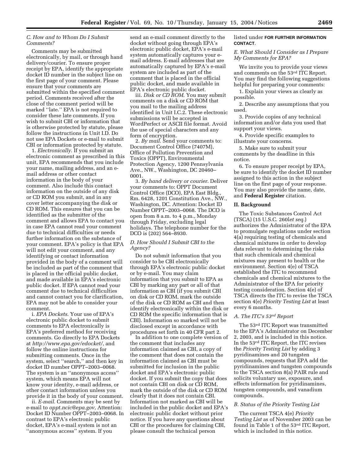#### *C. How and to Whom Do I Submit Comments?*

Comments may be submitted electronically, by mail, or through hand delivery/courier. To ensure proper receipt by EPA, identify the appropriate docket ID number in the subject line on the first page of your comment. Please ensure that your comments are submitted within the specified comment period. Comments received after the close of the comment period will be marked ''late.'' EPA is not required to consider these late comments. If you wish to submit CBI or information that is otherwise protected by statute, please follow the instructions in Unit I.D. Do not use EPA Dockets or e-mail to submit CBI or information protected by statute.

1. *Electronically*. If you submit an electronic comment as prescribed in this unit, EPA recommends that you include your name, mailing address, and an email address or other contact information in the body of your comment. Also include this contact information on the outside of any disk or CD ROM you submit, and in any cover letter accompanying the disk or CD ROM. This ensures that you can be identified as the submitter of the comment and allows EPA to contact you in case EPA cannot read your comment due to technical difficulties or needs further information on the substance of your comment. EPA's policy is that EPA will not edit your comment, and any identifying or contact information provided in the body of a comment will be included as part of the comment that is placed in the official public docket, and made available in EPA's electronic public docket. If EPA cannot read your comment due to technical difficulties and cannot contact you for clarification, EPA may not be able to consider your comment.

i. *EPA Dockets*. Your use of EPA's electronic public docket to submit comments to EPA electronically is EPA's preferred method for receiving comments. Go directly to EPA Dockets at *http://www.epa.gov/edocket/*, and follow the online instructions for submitting comments. Once in the system, select ''search,'' and then key in docket ID number OPPT–2003–0068. The system is an ''anonymous access'' system, which means EPA will not know your identity, e-mail address, or other contact information unless you provide it in the body of your comment.

ii. *E-mail*. Comments may be sent by e-mail to *oppt.ncic@epa.gov*, Attention: Docket ID Number OPPT–2003–0068. In contrast to EPA's electronic public docket, EPA's e-mail system is not an ''anonymous access'' system. If you

send an e-mail comment directly to the docket without going through EPA's electronic public docket, EPA's e-mail system automatically captures your email address. E-mail addresses that are automatically captured by EPA's e-mail system are included as part of the comment that is placed in the official public docket, and made available in EPA's electronic public docket.

iii. *Disk or CD ROM*. You may submit comments on a disk or CD ROM that you mail to the mailing address identified in Unit I.C.2. These electronic submissions will be accepted in WordPerfect or ASCII file format. Avoid the use of special characters and any form of encryption.

2. *By mail*. Send your comments to: Document Control Office (7407M), Office of Pollution Prevention and Toxics (OPPT), Environmental Protection Agency, 1200 Pennsylvania Ave., NW., Washington, DC 20460– 0001.

3. *By hand delivery or courier*. Deliver your comments to: OPPT Document Control Office (DCO), EPA East Bldg., Rm. 6428, 1201 Constitution Ave., NW., Washington, DC. Attention: Docket ID Number OPPT–2003–0068. The DCO is open from 8 a.m. to 4 p.m., Monday through Friday, excluding legal holidays. The telephone number for the DCO is (202) 564–8930.

#### *D. How Should I Submit CBI to the Agency?*

Do not submit information that you consider to be CBI electronically through EPA's electronic public docket or by e-mail. You may claim information that you submit to EPA as CBI by marking any part or all of that information as CBI (if you submit CBI on disk or CD ROM, mark the outside of the disk or CD ROM as CBI and then identify electronically within the disk or CD ROM the specific information that is CBI). Information so marked will not be disclosed except in accordance with procedures set forth in 40 CFR part 2.

In addition to one complete version of the comment that includes any information claimed as CBI, a copy of the comment that does not contain the information claimed as CBI must be submitted for inclusion in the public docket and EPA's electronic public docket. If you submit the copy that does not contain CBI on disk or CD ROM, mark the outside of the disk or CD ROM clearly that it does not contain CBI. Information not marked as CBI will be included in the public docket and EPA's electronic public docket without prior notice. If you have any questions about CBI or the procedures for claiming CBI, please consult the technical person

#### listed under **FOR FURTHER INFORMATION CONTACT**.

#### *E. What Should I Consider as I Prepare My Comments for EPA?*

We invite you to provide your views and comments on the 53rd ITC Report. You may find the following suggestions helpful for preparing your comments:

1. Explain your views as clearly as possible.

2. Describe any assumptions that you used.

3. Provide copies of any technical information and/or data you used that support your views.

4. Provide specific examples to illustrate your concerns.

5. Make sure to submit your comments by the deadline in this notice.

6. To ensure proper receipt by EPA, be sure to identify the docket ID number assigned to this action in the subject line on the first page of your response. You may also provide the name, date, and **Federal Register** citation.

#### **II. Background**

The Toxic Substances Control Act (TSCA) (15 U.S.C. 260l*et seq*.) authorizes the Administrator of the EPA to promulgate regulations under section 4(a) requiring testing of chemicals and chemical mixtures in order to develop data relevant to determining the risks that such chemicals and chemical mixtures may present to health or the environment. Section 4(e) of TSCA established the ITC to recommend chemicals and chemical mixtures to the Administrator of the EPA for priority testing consideration. Section 4(e) of TSCA directs the ITC to revise the TSCA section 4(e) *Priority Testing List* at least every 6 months.

#### *A. The ITC's 53rd Report*

The 53rd ITC Report was transmitted to the EPA's Administrator on December 2, 2003, and is included in this notice. In the 53rd ITC Report, the ITC revises the *Priority Testing List* by adding 3 pyridinamines and 20 tungsten compounds, requests that EPA add the pyridinamines and tungsten compounds to the TSCA section 8(a) PAIR rule and solicits voluntary use, exposure, and effects information for pyridinamines, tungsten compounds, and vanadium compounds.

#### *B. Status of the Priority Testing List*

The current TSCA 4(e) *Priority Testing List* as of November 2003 can be found in Table 1 of the 53rd ITC Report, which is included in this notice.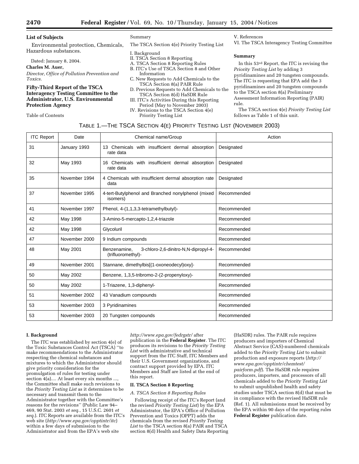#### **List of Subjects**

Environmental protection, Chemicals, Hazardous substances.

Dated: January 8, 2004.

#### **Charles M. Auer,**

*Director, Office of Pollution Prevention and Toxics.*

#### **Fifty-Third Report of the TSCA Interagency Testing Committee to the Administrator, U.S. Environmental Protection Agency**

Table of Contents

#### Summary

The TSCA Section 4(e) Priority Testing List

I. Background

- II. TSCA Section 8 Reporting
- A. TSCA Section 8 Reporting Rules
- B. ITC's Use of TSCA Section 8 and Other Information
- C. New Requests to Add Chemicals to the TSCA Section 8(a) PAIR Rule
- D. Previous Requests to Add Chemicals to the TSCA Section 8(d) HaSDR Rule
- III. ITC's Activities During this Reporting Period (May to November 2003)
- IV. Revisions to the TSCA Section 4(e) Priority Testing List

V. References

VI. The TSCA Interagency Testing Committee

#### **Summary**

In this 53rd Report, the ITC is revising the *Priority Testing List* by adding 3 pyridinamines and 20 tungsten compounds. The ITC is requesting that EPA add the 3 pyridinamines and 20 tungsten compounds to the TSCA section 8(a) Preliminary Assessment Information Reporting (PAIR) rule.

The TSCA section 4(e) *Priority Testing List* follows as Table 1 of this unit.

| <b>ITC Report</b> | Date          | Chemical name/Group                                                        | Action      |
|-------------------|---------------|----------------------------------------------------------------------------|-------------|
| 31                | January 1993  | 13 Chemicals with insufficient dermal absorption<br>rate data              | Designated  |
| 32                | May 1993      | 16 Chemicals with insufficient dermal absorption<br>rate data              | Designated  |
| 35                | November 1994 | 4 Chemicals with insufficient dermal absorption rate<br>data               | Designated  |
| 37                | November 1995 | 4-tert-Butylphenol and Branched nonylphenol (mixed<br>isomers)             | Recommended |
| 41                | November 1997 | Phenol, 4-(1,1,3,3-tetramethylbutyl)-                                      | Recommended |
| 42                | May 1998      | 3-Amino-5-mercapto-1,2,4-triazole                                          | Recommended |
| 42                | May 1998      | Glycoluril                                                                 | Recommended |
| 47                | November 2000 | 9 Indium compounds                                                         | Recommended |
| 48                | May 2001      | Benzenamine.<br>3-chloro-2,6-dinitro-N,N-dipropyl-4-<br>(trifluoromethyl)- | Recommended |
| 49                | November 2001 | Stannane, dimethylbis[(1-oxoneodecyl)oxy]-                                 | Recommended |
| 50                | May 2002      | Benzene, 1,3,5-tribromo-2-(2-propenyloxy)-                                 | Recommended |
| 50                | May 2002      | 1-Triazene, 1,3-diphenyl-                                                  | Recommended |
| 51                | November 2002 | 43 Vanadium compounds                                                      | Recommended |
| 53                | November 2003 | 3 Pyridinamines                                                            | Recommended |
| 53                | November 2003 | 20 Tungsten compounds                                                      | Recommended |

#### **I. Background**

The ITC was established by section 4(e) of the Toxic Substances Control Act (TSCA) ''to make recommendations to the Administrator respecting the chemical substances and mixtures to which the Administrator should give priority consideration for the promulgation of rules for testing under section 4(a).... At least every six months ..., the Committee shall make such revisions to the *Priority Testing List* as it determines to be necessary and transmit them to the Administrator together with the Committee's reasons for the revisions'' (Public Law 94– 469, 90 Stat. 2003 *et seq*., 15 U.S.C. 2601 *et seq*.). ITC Reports are available from the ITC's web site (*http://www.epa.gov/opptintr/itc*) within a few days of submission to the Administrator and from the EPA's web site

*http://www.epa.gov/fedrgstr/* after publication in the **Federal Register**. The ITC produces its revisions to the *Priority Testing List* with administrative and technical support from the ITC Staff, ITC Members and their U.S. Government organizations, and contract support provided by EPA. ITC Members and Staff are listed at the end of this report.

#### **II. TSCA Section 8 Reporting**

*A. TSCA Section 8 Reporting Rules*

Following receipt of the ITC's Report (and the revised *Priority Testing List*) by the EPA Administrator, the EPA's Office of Pollution Prevention and Toxics (OPPT) adds the chemicals from the revised *Priority Testing List* to the TSCA section 8(a) PAIR and TSCA section 8(d) Health and Safety Data Reporting (HaSDR) rules. The PAIR rule requires producers and importers of Chemical Abstract Service (CAS)-numbered chemicals added to the *Priority Testing List* to submit production and exposure reports (*http:// www.epa.gov/opptintr/chemtest/ pairform.pdf*). The HaSDR rule requires producers, importers, and processors of all chemicals added to the *Priority Testing List* to submit unpublished health and safety studies under TSCA section 8(d) that must be in compliance with the revised HaSDR rule (Ref. 1). All submissions must be received by the EPA within 90 days of the reporting rules **Federal Register** publication date.

|  | TABLE 1.—THE TSCA SECTION 4(E) PRIORITY TESTING LIST (NOVEMBER 2003) |  |
|--|----------------------------------------------------------------------|--|
|--|----------------------------------------------------------------------|--|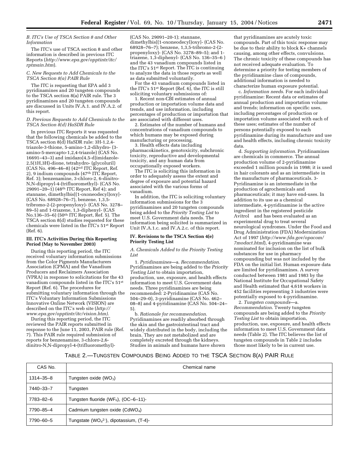#### *B. ITC's Use of TSCA Section 8 and Other Information*

The ITC's use of TSCA section 8 and other information is described in previous ITC Reports (*http://www.epa.gov/opptintr/itc/ rptmain.htm*).

#### *C. New Requests to Add Chemicals to the TSCA Section 8(a) PAIR Rule*

The ITC is requesting that EPA add 3 pyridinamines and 20 tungsten compounds to the TSCA section 8(a) PAIR rule. The 3 pyridinamines and 20 tungsten compounds are discussed in Units IV.A.1. and IV.A.2. of this report.

#### *D. Previous Requests to Add Chemicals to the TSCA Section 8(d) HaSDR Rule*

In previous ITC Reports it was requested that the following chemicals be added to the TSCA section 8(d) HaSDR rule: 3H-1,2,4 triazole-3-thione, 5-amino-1,2-dihydro- (3 amino-5-mercapto-1,2,4-triazole) (CAS No. 16691–43–3) and imidazo[4,5-d]imidazole-2,5(1H,3H)-dione, tetrahydro- (glycoluril) (CAS No. 496–46–8) (42nd ITC Report, Ref. 2), 9 indium compounds (47th ITC Report, Ref. 3); benzenamine, 3-chloro-2, 6-dinitro-N,N-dipropyl-4-(trifluoromethyl)- (CAS No.  $29091-20-1$  (48<sup>th</sup> ITC Report, Ref 4); and stannane, dimethylbis[(1-oxoneodecyl)oxy]- (CAS No. 68928–76–7), benzene, 1,3,5 tribromo-2-(2-propenyloxy)- (CAS No. 3278– 89–5) and 1-triazene, 1,3-diphenyl- (CAS No.136–35–6) (50th ITC Report, Ref. 5). The TSCA section 8(d) studies requested for these chemicals were listed in the ITC's 51st Report (Ref. 6).

#### **III. ITC's Activities During this Reporting Period (May to November 2003)**

During this reporting period, the ITC received voluntary information submissions from the Color Pigments Manufacturers Association (CPMA) and the Vanadium Producers and Reclaimers Association (VPRA) in response to solicitations for the 43 vanadium compounds listed in the ITC's 51st Report (Ref. 6). The procedures for submitting voluntary information through the ITC's Voluntary Information Submissions Innovative Online Network (VISION) are described on the ITC's web site (*http:// www.epa.gov/opptintr/itc/vision.htm)*.

During this reporting period, the ITC reviewed the PAIR reports submitted in response to the June 11, 2003, PAIR rule (Ref. 7). This PAIR rule required submission of reports for benzenamine, 3-chloro-2,6 dinitro-N,N-dipropyl-4-(trifluoromethyl)-

(CAS No. 29091–20-1); stannane, dimethylbis[(1-oxoneodecyl)oxy]- (CAS No. 68928–76–7); benzene, 1,3,5-tribromo-2-(2 propenyloxy)- (CAS No. 3278–89–5); and 1 triazene, 1,3-diphenyl- (CAS No. 136–35–6 ) and the 43 vanadium compounds listed in the ITC's 51st Report. The ITC is continuing to analyze the data in those reports as well as data submitted voluntarily.

For the 43 vanadium compounds listed in the ITC's 51st Report (Ref. 6), the ITC is still soliciting voluntary submissions of:

1. Recent non-CBI estimates of annual production or importation volume data and trends, and use information, including percentages of production or importation that are associated with different uses.

2. Estimates of the number of humans and concentrations of vanadium compounds to which humans may be exposed during manufacturing or processing.

3. Health effects data including pharmacokinetics, genotoxicity, subchronic toxicity, reproductive and developmental toxicity, and any human data from occupationally exposed workers.

The ITC is soliciting this information in order to adequately assess the extent and degree of exposure and potential hazard associated with the various forms of vanadium.

In addition, the ITC is soliciting voluntary information submissions for the 3 pyridinamines and 20 tungsten compounds being added to the *Priority Testing List* to meet U.S. Government data needs. The information being solicited is summarized in Unit IV.A.1.c. and IV.A.2.c. of this report.

#### **IV. Revisions to the TSCA Section 4(e) Priority Testing List**

#### *A. Chemicals Added to the Priority Testing List*

1. *Pyridinamines*—a. *Recommendation*. Pyridinamines are being added to the *Priority Testing List* to obtain importation, production, use, exposure, and health effects information to meet U.S. Government data needs. Three pyridinamines are being recommended: 2-Pyridinamine (CAS No. 504–29–0), 3-pyridinamine (CAS No. 462– 08–8) and 4-pyridinamine (CAS No. 504–24– 5).

b. *Rationale for recommendation*. Pyridinamines are readily absorbed through the skin and the gastrointestinal tract and widely distributed in the body, including the brain. They are not metabolized and are completely excreted through the kidneys. Studies in animals and humans have shown

that pyridinamines are acutely toxic compounds. Part of this toxic response may be due to their ability to block K+ channels causing, among other effects, convulsions. The chronic toxicity of these compounds has not received adequate evaluation. To determine a priority for testing members of the pyridinamine class of compounds, additional information is needed to characterize human exposure potential.

c. *Information needs*. For each individual pyridinamine: Recent data or estimates of annual production and importation volume and trends; information on specific uses, including percentages of production or importation volume associated with each of these uses; estimates of the number of persons potentially exposed to each pyridinamine during its manufacture and use and health effects, including chronic toxicity data.

d. *Supporting information*. Pyridinamines are chemicals in commerce. The annual production volume of 2-pyridinamine exceeded 1 million pounds in 1998; it is used in hair colorants and as an intermediate in the manufacture of pharmaceuticals. 3- Pyridinamine is an intermediate in the production of agrochemicals and pharmaceuticals; it may have end-uses. In addition to its use as a chemical intermediate, 4-pyridinamine is the active ingredient in the registered pesticide Avitrol® and has been evaluated as an experimental drug to treat several neurological syndromes. Under the Food and Drug Administration (FDA) Modernization Act of 1997 (*http://www.fda.gov/opacom/ 7modact.html*), 4-pyridinamine was nominated for inclusion on the list of bulk substances for use in pharmacy compounding but was not included by the FDA on the initial list. Human exposure data are limited for pyridinamines. A survey conducted between 1981 and 1983 by the National Institute for Occupational Safety and Health estimated that 4,618 workers in 452 facilities representing 3 industries were potentially exposed to 4-pyridinamine.

2. *Tungsten compounds*—a. *Recommendation*. Twenty tungsten compounds are being added to the *Priority Testing List* to obtain importation, production, use, exposure, and health effects information to meet U.S. Government data needs (Table 2). The ITC believes the list of tungsten compounds in Table 2 includes those most likely to be in current use.

#### TABLE 2.—TUNGSTEN COMPOUNDS BEING ADDED TO THE TSCA SECTION 8(A) PAIR RULE

| CAS No.         | Chemical name                                    |
|-----------------|--------------------------------------------------|
| $1314 - 35 - 8$ | Tungsten oxide $(WO_3)$                          |
| 7440-33-7       | Tungsten                                         |
| 7783-82-6       | Tungsten fluoride (WF <sub>6</sub> ), (OC-6-11)- |
| 7790-85-4       | Cadmium tungsten oxide (CdWO <sub>4</sub> )      |
| 7790-60-5       | Tungstate ( $WO42$ ), dipotassium, (T-4)-        |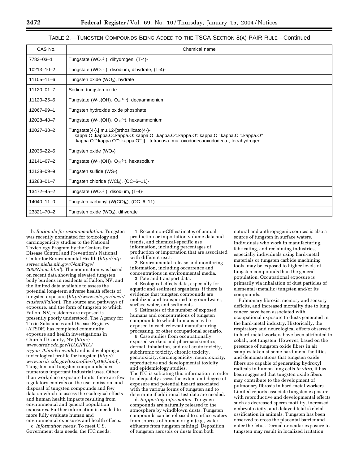#### TABLE 2.—TUNGSTEN COMPOUNDS BEING ADDED TO THE TSCA SECTION 8(A) PAIR RULE—Continued

| CAS No.          | Chemical name                                                                                                                                                                                                                 |
|------------------|-------------------------------------------------------------------------------------------------------------------------------------------------------------------------------------------------------------------------------|
| 7783-03-1        | Tungstate (WO <sub>4</sub> <sup>2-</sup> ), dihydrogen, $(T-4)$ -                                                                                                                                                             |
| $10213 - 10 - 2$ | Tungstate (WO <sub>4</sub> <sup>2-</sup> ), disodium, dihydrate, $(T-4)$ -                                                                                                                                                    |
| $11105 - 11 - 6$ | Tungsten oxide ( $WO3$ ), hydrate                                                                                                                                                                                             |
| $11120 - 01 - 7$ | Sodium tungsten oxide                                                                                                                                                                                                         |
| 11120-25-5       | Tungstate $(W_{12}(OH)_2 O_{40}^{10})$ , decaammonium                                                                                                                                                                         |
| 12067-99-1       | Tungsten hydroxide oxide phosphate                                                                                                                                                                                            |
| 12028-48-7       | Tungstate $(W_{12}(OH)_2 O_{38}^{6})$ , hexaammonium                                                                                                                                                                          |
| 12027-38-2       | Tungstate(4-),[.mu.12-[orthosilicato(4-)-<br>.kappa.O:.kappa.O:.kappa.O:.kappa.O':.kappa.O':.kappa.O':.kappa.O''.kappa.O'':.kappa.O''<br>:.kappa.O"':kappa.O"':.kappa.O"']] tetracosa-.mu.-oxododecaoxododeca-, tetrahydrogen |
| 12036-22-5       | Tungsten oxide $(WO2)$                                                                                                                                                                                                        |
| $12141 - 67 - 2$ | Tungstate $(W_{12}(OH)_2 O_{38}^6)$ , hexasodium                                                                                                                                                                              |
| 12138-09-9       | Tungsten sulfide $(WS2)$                                                                                                                                                                                                      |
| $13283 - 01 - 7$ | Tungsten chloride (WCl <sub>6</sub> ), (OC-6-11)-                                                                                                                                                                             |
| $13472 - 45 - 2$ | Tungstate (WO $_4$ <sup>2-</sup> ), disodium, (T-4)-                                                                                                                                                                          |
| $14040 - 11 - 0$ | Tungsten carbonyl (W(CO) <sub>6</sub> ), (OC-6-11)-                                                                                                                                                                           |
| 23321-70-2       | Tungsten oxide ( $WO3$ ), dihydrate                                                                                                                                                                                           |

b. *Rationale for recommendation*. Tungsten was recently nominated for toxicology and carcinogenicity studies to the National Toxicology Program by the Centers for Disease Control and Prevention's National Center for Environmental Health (*http://ntpserver.niehs.nih.gov/NomPage/ 2003Noms.html*). The nomination was based on recent data showing elevated tungsten body burdens in residents of Fallon, NV, and the limited data available to assess the potential long-term adverse health effects of tungsten exposure (*http://www.cdc.gov/nceh/ clusters/Fallon*). The source and pathways of exposure, and the form of tungsten to which Fallon, NV, residents are exposed is presently poorly understood. The Agency for Toxic Substances and Disease Registry (ATSDR) has completed community exposure and health investigations in Churchill County, NV (*http:// www.atsdr.cdc.gov/HAC/PHA/ region*\_*9.html#nevada*) and is developing a toxicological profile for tungsten (*http:// www.atsdr.cdc.gov/toxprofiles/tp186.html*). Tungsten and tungsten compounds have numerous important industrial uses. Other than workplace exposure limits, there are few regulatory controls on the use, emission, and disposal of tungsten compounds and few data on which to assess the ecological effects and human health impacts resulting from environmental and general population exposures. Further information is needed to more fully evaluate human and environmental exposures and health effects.

c. *Information needs*. To meet U.S. Government data needs, the ITC needs:

1. Recent non-CBI estimates of annual production or importation volume data and trends, and chemical-specific use information, including percentages of production or importation that are associated with different uses.

2. Environmental release and monitoring information, including occurrence and concentrations in environmental media. 3. Fate and transport data.

4. Ecological effects data, especially for aquatic and sediment organisms, if there is evidence that tungsten compounds are mobilized and transported to groundwater, surface water, and sediments.

5. Estimates of the number of exposed humans and concentrations of tungsten compounds to which humans may be exposed in each relevant manufacturing, processing, or other occupational scenario.

6. Case studies from occupationally exposed workers and pharmacokinetics, dermal, inhalation, and oral acute toxicity, subchronic toxicity, chronic toxicity, genotoxicity, carcinogenicity, neurotoxicity, reproductive and developmental toxicity, and epidemiology studies. The ITC is soliciting this information in order to adequately assess the extent and degree of exposure and potential hazard associated with the various forms of tungsten and to determine if additional test data are needed.

d. *Supporting information*. Tungsten compounds are naturally released to the atmosphere by windblown dusts. Tungsten compounds can be released to surface waters from sources of human origin (e.g., water effluents from tungsten mining). Deposition of tungsten aerosols or dusts from both

natural and anthropogenic sources is also a source of tungsten in surface waters. Individuals who work in manufacturing, fabricating, and reclaiming industries, especially individuals using hard-metal materials or tungsten carbide machining tools, may be exposed to higher levels of tungsten compounds than the general population. Occupational exposure is primarily via inhalation of dust particles of elemental (metallic) tungsten and/or its compounds.

Pulmonary fibrosis, memory and sensory deficits, and increased mortality due to lung cancer have been associated with occupational exposure to dusts generated in the hard-metal industry. Historically, the respiratory and neurological effects observed in hard-metal workers have been attributed to cobalt, not tungsten. However, based on the presence of tungsten oxide fibers in air samples taken at some hard-metal facilities and demonstrations that tungsten oxide fibers are capable of generating hydroxyl radicals in human lung cells *in vitro*, it has been suggested that tungsten oxide fibers may contribute to the development of pulmonary fibrosis in hard-metal workers. Limited reports associate tungsten exposure with reproductive and developmental effects such as decreased sperm motility, increased embryotoxicity, and delayed fetal skeletal ossification in animals. Tungsten has been observed to cross the placental barrier and enter the fetus. Dermal or ocular exposure to tungsten may result in localized irritation.